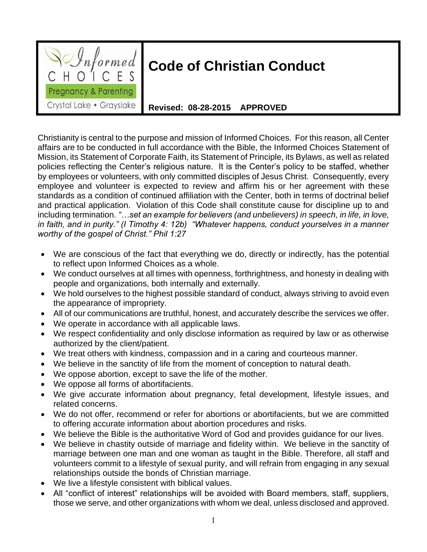

## **Code of Christian Conduct**

**Revised: 08-28-2015 APPROVED**

Christianity is central to the purpose and mission of Informed Choices. For this reason, all Center affairs are to be conducted in full accordance with the Bible, the Informed Choices Statement of Mission, its Statement of Corporate Faith, its Statement of Principle, its Bylaws, as well as related policies reflecting the Center's religious nature. It is the Center's policy to be staffed, whether by employees or volunteers, with only committed disciples of Jesus Christ. Consequently, every employee and volunteer is expected to review and affirm his or her agreement with these standards as a condition of continued affiliation with the Center, both in terms of doctrinal belief and practical application. Violation of this Code shall constitute cause for discipline up to and including termination. *"…set an example for believers (and unbelievers) in speech, in life, in love, in faith, and in purity." (I Timothy 4: 12b) "Whatever happens, conduct yourselves in a manner worthy of the gospel of Christ." Phil 1:27*

- We are conscious of the fact that everything we do, directly or indirectly, has the potential to reflect upon Informed Choices as a whole.
- We conduct ourselves at all times with openness, forthrightness, and honesty in dealing with people and organizations, both internally and externally.
- We hold ourselves to the highest possible standard of conduct, always striving to avoid even the appearance of impropriety.
- All of our communications are truthful, honest, and accurately describe the services we offer.
- We operate in accordance with all applicable laws.
- We respect confidentiality and only disclose information as required by law or as otherwise authorized by the client/patient.
- We treat others with kindness, compassion and in a caring and courteous manner.
- We believe in the sanctity of life from the moment of conception to natural death.
- We oppose abortion, except to save the life of the mother.
- We oppose all forms of abortifacients.
- We give accurate information about pregnancy, fetal development, lifestyle issues, and related concerns.
- We do not offer, recommend or refer for abortions or abortifacients, but we are committed to offering accurate information about abortion procedures and risks.
- We believe the Bible is the authoritative Word of God and provides guidance for our lives.
- We believe in chastity outside of marriage and fidelity within. We believe in the sanctity of marriage between one man and one woman as taught in the Bible. Therefore, all staff and volunteers commit to a lifestyle of sexual purity, and will refrain from engaging in any sexual relationships outside the bonds of Christian marriage.
- We live a lifestyle consistent with biblical values.
- All "conflict of interest" relationships will be avoided with Board members, staff, suppliers, those we serve, and other organizations with whom we deal, unless disclosed and approved.